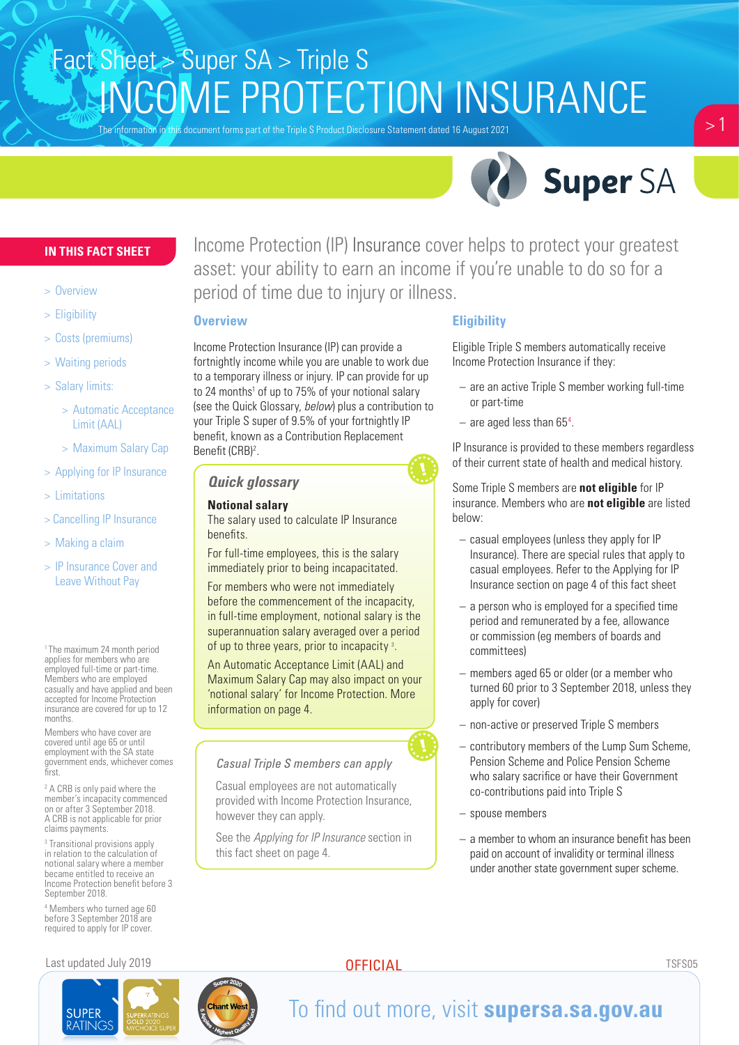The information in this document forms part of the Triple S Product Disclosure Statement dated 16 August 2021



 $> 1$ 

#### **IN THIS FACT SHEET**

- > Overview
- > Eligibility
- > Costs (premiums)
- > Waiting periods
- > Salary limits:
	- > Automatic Acceptance Limit (AAL)
	- > Maximum Salary Cap
- > Applying for IP Insurance
- > Limitations
- > Cancelling IP Insurance
- > Making a claim
- > IP Insurance Cover and Leave Without Pay

1 The maximum 24 month period applies for members who are employed full-time or part-time. Members who are employed casually and have applied and been accepted for Income Protection insurance are covered for up to 12 months.

Members who have cover are covered until age 65 or until employment with the SA state government ends, whichever comes first.

<sup>2</sup> A CRB is only paid where the member's incapacity commenced on or after 3 September 2018. A CRB is not applicable for prior claims payments.

3 Transitional provisions apply in relation to the calculation of notional salary where a member became entitled to receive an Income Protection benefit before 3 September 2018.

4 Members who turned age 60 before 3 September 2018 are required to apply for IP cover.

#### Last updated July 2019 TSFS05



Income Protection (IP) Insurance cover helps to protect your greatest asset: your ability to earn an income if you're unable to do so for a period of time due to injury or illness.

#### **Overview**

Income Protection Insurance (IP) can provide a fortnightly income while you are unable to work due to a temporary illness or injury. IP can provide for up to 24 months<sup>1</sup> of up to 75% of your notional salary (see the Quick Glossary, *below*) plus a contribution to your Triple S super of 9.5% of your fortnightly IP benefit, known as a Contribution Replacement Benefit (CRB)<sup>2</sup>.

### *Quick glossary*

#### **Notional salary**

The salary used to calculate IP Insurance benefits.

For full-time employees, this is the salary immediately prior to being incapacitated.

For members who were not immediately before the commencement of the incapacity, in full-time employment, notional salary is the superannuation salary averaged over a period of up to three years, prior to incapacity 3.

An Automatic Acceptance Limit (AAL) and Maximum Salary Cap may also impact on your 'notional salary' for Income Protection. More information on page 4.

#### *Casual Triple S members can apply*

Casual employees are not automatically provided with Income Protection Insurance, however they can apply.

See the *Applying for IP Insurance* section in this fact sheet on page 4.

#### **Eligibility**

Eligible Triple S members automatically receive Income Protection Insurance if they:

- are an active Triple S member working full-time or part-time
- $-$  are aged less than 65<sup>4</sup>.

IP Insurance is provided to these members regardless of their current state of health and medical history.

Some Triple S members are **not eligible** for IP insurance. Members who are **not eligible** are listed below:

- casual employees (unless they apply for IP Insurance). There are special rules that apply to casual employees. Refer to the Applying for IP Insurance section on page 4 of this fact sheet
- a person who is employed for a specified time period and remunerated by a fee, allowance or commission (eg members of boards and committees)
- members aged 65 or older (or a member who turned 60 prior to 3 September 2018, unless they apply for cover)
- non-active or preserved Triple S members
- contributory members of the Lump Sum Scheme, Pension Scheme and Police Pension Scheme who salary sacrifice or have their Government co-contributions paid into Triple S
- spouse members
- a member to whom an insurance benefit has been paid on account of invalidity or terminal illness under another state government super scheme.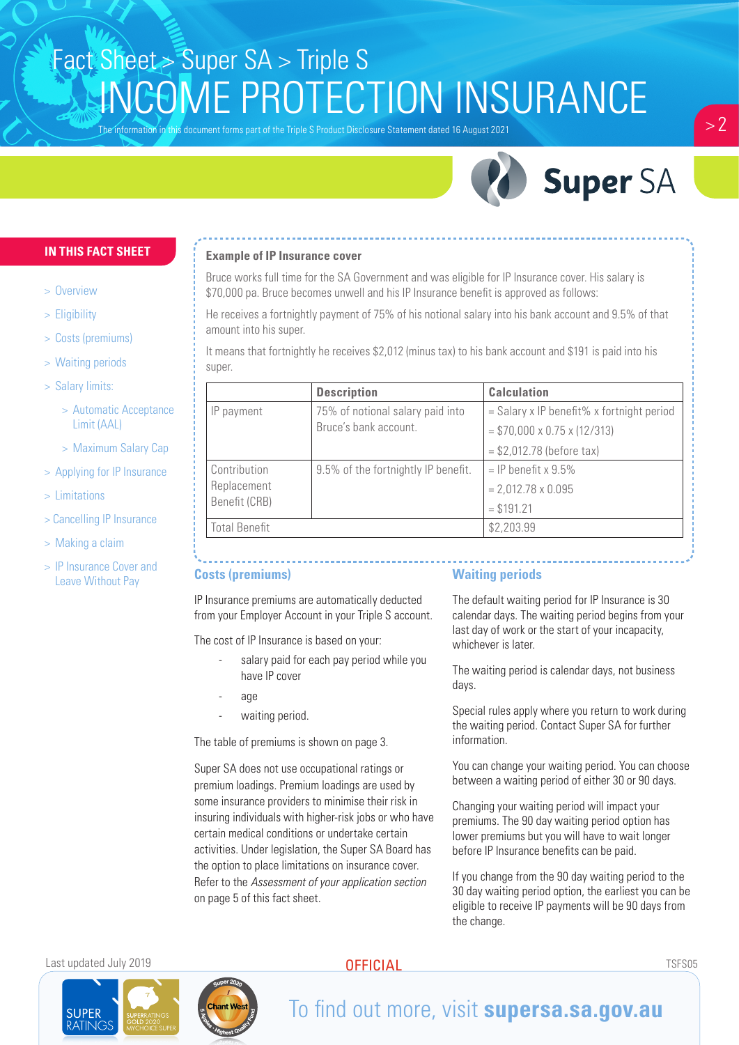The information in this document forms part of the Triple S Product Disclosure Statement dated 16 August 2021



### **IN THIS FACT SHEET**

- > Overview
- > Eligibility
- > Costs (premiums)
- > Waiting periods
- > Salary limits:
	- > Automatic Acceptance Limit (AAL)
	- > Maximum Salary Cap
- > Applying for IP Insurance
- > Limitations
- > Cancelling IP Insurance
- > Making a claim
- > IP Insurance Cover and Leave Without Pay

#### **Example of IP Insurance cover**

Bruce works full time for the SA Government and was eligible for IP Insurance cover. His salary is \$70,000 pa. Bruce becomes unwell and his IP Insurance benefit is approved as follows:

He receives a fortnightly payment of 75% of his notional salary into his bank account and 9.5% of that amount into his super.

It means that fortnightly he receives \$2,012 (minus tax) to his bank account and \$191 is paid into his super.

|  |                              | <b>Description</b>                                        | <b>Calculation</b>                        |  |
|--|------------------------------|-----------------------------------------------------------|-------------------------------------------|--|
|  | IP payment                   | 75% of notional salary paid into<br>Bruce's bank account. | = Salary x IP benefit% x fortnight period |  |
|  |                              |                                                           | $= $70,000 \times 0.75 \times (12/313)$   |  |
|  |                              |                                                           | $= $2,012.78$ (before tax)                |  |
|  | Contribution                 | 9.5% of the fortnightly IP benefit.                       | $=$ IP benefit x 9.5%                     |  |
|  | Replacement<br>Benefit (CRB) |                                                           | $= 2,012.78 \times 0.095$                 |  |
|  |                              |                                                           | $= $191.21$                               |  |
|  | Total Benefit                |                                                           | \$2,203.99                                |  |

### **Costs (premiums)**

IP Insurance premiums are automatically deducted from your Employer Account in your Triple S account.

The cost of IP Insurance is based on your:

- salary paid for each pay period while you have IP cover
	- age
	- waiting period.

The table of premiums is shown on page 3.

Super SA does not use occupational ratings or premium loadings. Premium loadings are used by some insurance providers to minimise their risk in insuring individuals with higher-risk jobs or who have certain medical conditions or undertake certain activities. Under legislation, the Super SA Board has the option to place limitations on insurance cover. Refer to the *Assessment of your application section* on page 5 of this fact sheet.

### **Waiting periods**

The default waiting period for IP Insurance is 30 calendar days. The waiting period begins from your last day of work or the start of your incapacity, whichever is later.

The waiting period is calendar days, not business days.

Special rules apply where you return to work during the waiting period. Contact Super SA for further information.

You can change your waiting period. You can choose between a waiting period of either 30 or 90 days.

Changing your waiting period will impact your premiums. The 90 day waiting period option has lower premiums but you will have to wait longer before IP Insurance benefits can be paid.

If you change from the 90 day waiting period to the 30 day waiting period option, the earliest you can be eligible to receive IP payments will be 90 days from the change.

Last updated July 2019 TSFS05

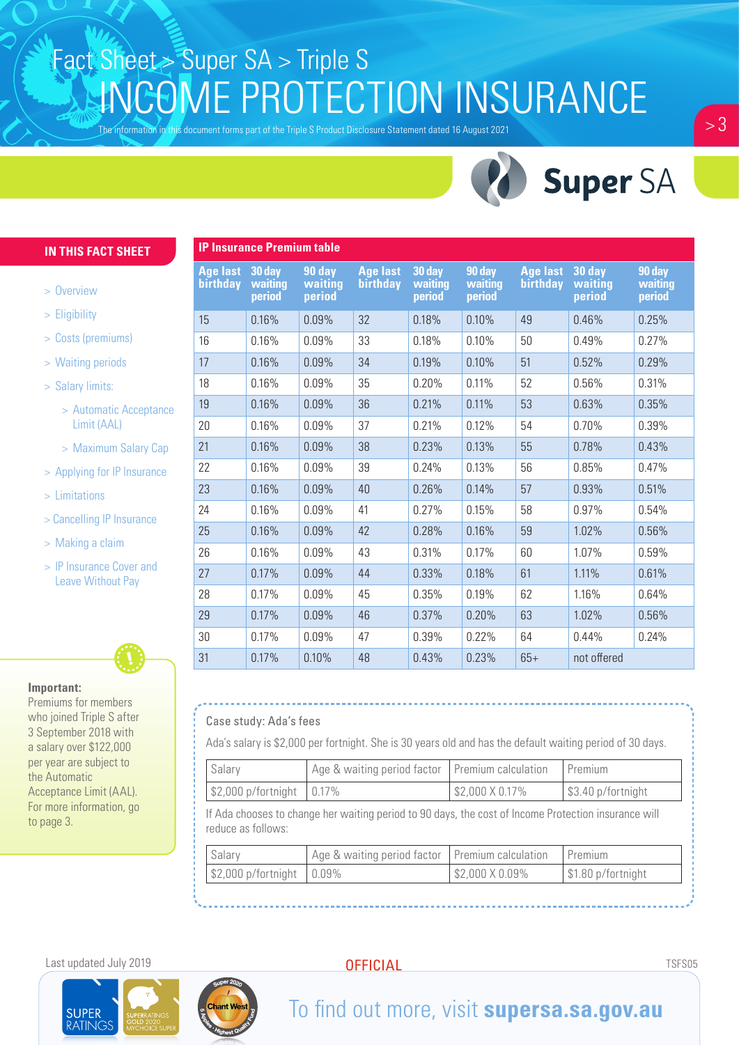The information in this document forms part of the Triple S Product Disclosure Statement dated 16 August 2021



#### **IN THIS FACT SHEET**

- > Overview
- > Eligibility
- > Costs (premiums)
- > Waiting periods
- > Salary limits:
	- > Automatic Acceptance Limit (AAL)
	- > Maximum Salary Cap
- > Applying for IP Insurance
- > Limitations
- > Cancelling IP Insurance
- > Making a claim
- > IP Insurance Cover and Leave Without Pay

#### **Important:**

Premiums for members who joined Triple S after 3 September 2018 with a salary over \$122,000 per year are subject to the Automatic Acceptance Limit (AAL). For more information, go to page 3.

| <b>IP Insurance Premium table</b> |                             |                             |                             |                             |                             |                             |                             |                             |
|-----------------------------------|-----------------------------|-----------------------------|-----------------------------|-----------------------------|-----------------------------|-----------------------------|-----------------------------|-----------------------------|
| <b>Age last</b><br>birthday       | 30 day<br>waiting<br>period | 90 day<br>waiting<br>period | <b>Age last</b><br>birthday | 30 day<br>waiting<br>period | 90 day<br>waiting<br>period | <b>Age last</b><br>birthday | 30 day<br>waiting<br>period | 90 day<br>waiting<br>period |
| 15                                | 0.16%                       | 0.09%                       | 32                          | 0.18%                       | 0.10%                       | 49                          | 0.46%                       | 0.25%                       |
| 16                                | 0.16%                       | 0.09%                       | 33                          | 0.18%                       | 0.10%                       | 50                          | 0.49%                       | 0.27%                       |
| 17                                | 0.16%                       | 0.09%                       | 34                          | 0.19%                       | 0.10%                       | 51                          | 0.52%                       | 0.29%                       |
| 18                                | 0.16%                       | 0.09%                       | 35                          | 0.20%                       | 0.11%                       | 52                          | 0.56%                       | 0.31%                       |
| 19                                | 0.16%                       | 0.09%                       | 36                          | 0.21%                       | 0.11%                       | 53                          | 0.63%                       | 0.35%                       |
| 20                                | 0.16%                       | 0.09%                       | 37                          | 0.21%                       | 0.12%                       | 54                          | 0.70%                       | 0.39%                       |
| 21                                | 0.16%                       | 0.09%                       | 38                          | 0.23%                       | 0.13%                       | 55                          | 0.78%                       | 0.43%                       |
| 22                                | 0.16%                       | 0.09%                       | 39                          | 0.24%                       | 0.13%                       | 56                          | 0.85%                       | 0.47%                       |
| 23                                | 0.16%                       | 0.09%                       | 40                          | 0.26%                       | 0.14%                       | 57                          | 0.93%                       | 0.51%                       |
| 24                                | 0.16%                       | 0.09%                       | 41                          | 0.27%                       | 0.15%                       | 58                          | 0.97%                       | 0.54%                       |
| 25                                | 0.16%                       | 0.09%                       | 42                          | 0.28%                       | 0.16%                       | 59                          | 1.02%                       | 0.56%                       |
| 26                                | 0.16%                       | 0.09%                       | 43                          | 0.31%                       | 0.17%                       | 60                          | 1.07%                       | 0.59%                       |
| 27                                | 0.17%                       | 0.09%                       | 44                          | 0.33%                       | 0.18%                       | 61                          | 1.11%                       | 0.61%                       |
| 28                                | 0.17%                       | 0.09%                       | 45                          | 0.35%                       | 0.19%                       | 62                          | 1.16%                       | 0.64%                       |
| 29                                | 0.17%                       | 0.09%                       | 46                          | 0.37%                       | 0.20%                       | 63                          | 1.02%                       | 0.56%                       |
| 30                                | 0.17%                       | 0.09%                       | 47                          | 0.39%                       | 0.22%                       | 64                          | 0.44%                       | 0.24%                       |
| 31                                | 0.17%                       | 0.10%                       | 48                          | 0.43%                       | 0.23%                       | $65+$                       | not offered                 |                             |

#### Case study: Ada's fees

Ada's salary is \$2,000 per fortnight. She is 30 years old and has the default waiting period of 30 days.

| Salary                                                                                                                     | Age & waiting period factor   Premium calculation |                 | Premium            |  |  |  |
|----------------------------------------------------------------------------------------------------------------------------|---------------------------------------------------|-----------------|--------------------|--|--|--|
| $$2,000$ p/fortnight $ 0.17\%$                                                                                             |                                                   | \$2,000 X 0.17% | \$3.40 p/fortnight |  |  |  |
| If Ada chooses to change her waiting period to 90 days, the cost of Income Protection insurance will<br>reduce as follows: |                                                   |                 |                    |  |  |  |

| Salary                                                | Age & waiting period factor   Premium calculation   Premium |                               |                                  |
|-------------------------------------------------------|-------------------------------------------------------------|-------------------------------|----------------------------------|
| $\frac{1}{2}$ \$2,000 p/fortnight $\frac{1}{2}$ 0.09% |                                                             | $\frac{1}{2}$ \$2,000 X 0.09% | $\frac{1}{2}$ \$1.80 p/fortnight |

#### Last updated July 2019 TSFS05

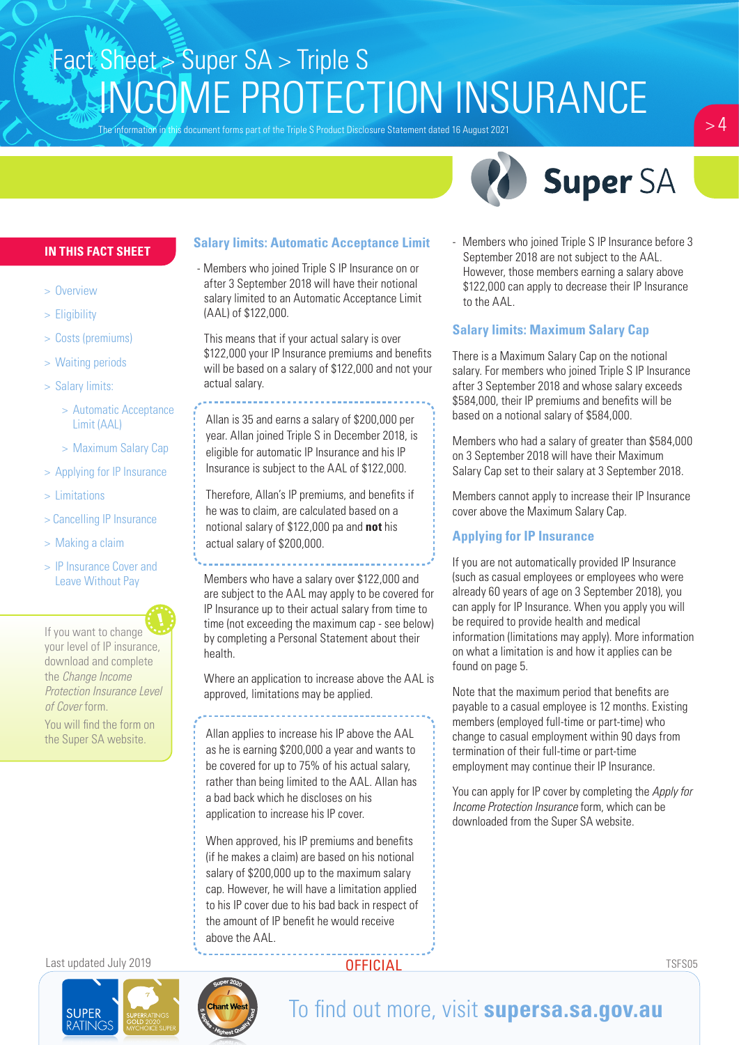The information in this document forms part of the Triple S Product Disclosure Statement dated 16 August 2021





### **IN THIS FACT SHEET**

- > Overview
- > Eligibility
- > Costs (premiums)
- > Waiting periods
- > Salary limits:
	- > Automatic Acceptance Limit (AAL)
	- > Maximum Salary Cap
- > Applying for IP Insurance
- > Limitations
- > Cancelling IP Insurance
- > Making a claim
- > IP Insurance Cover and Leave Without Pay

If you want to change your level of IP insurance, download and complete the *Change Income Protection Insurance Level of Cover* form.

You will find the form on

### **Salary limits: Automatic Acceptance Limit**

- Members who joined Triple S IP Insurance on or after 3 September 2018 will have their notional salary limited to an Automatic Acceptance Limit (AAL) of \$122,000.

This means that if your actual salary is over \$122,000 your IP Insurance premiums and benefits will be based on a salary of \$122,000 and not your actual salary.

Allan is 35 and earns a salary of \$200,000 per year. Allan joined Triple S in December 2018, is eligible for automatic IP Insurance and his IP Insurance is subject to the AAL of \$122,000.

Therefore, Allan's IP premiums, and benefits if he was to claim, are calculated based on a notional salary of \$122,000 pa and **not** his actual salary of \$200,000.

Members who have a salary over \$122,000 and are subject to the AAL may apply to be covered for IP Insurance up to their actual salary from time to time (not exceeding the maximum cap - see below) by completing a Personal Statement about their health.

Where an application to increase above the AAL is approved, limitations may be applied.

the Super SA website. **Allan applies to increase his IP above the AAL** as he is earning \$200,000 a year and wants to be covered for up to 75% of his actual salary, rather than being limited to the AAL. Allan has a bad back which he discloses on his application to increase his IP cover.

> When approved, his IP premiums and benefits (if he makes a claim) are based on his notional salary of \$200,000 up to the maximum salary cap. However, he will have a limitation applied to his IP cover due to his bad back in respect of the amount of IP benefit he would receive above the AAL.

Members who joined Triple S IP Insurance before 3 September 2018 are not subject to the AAL. However, those members earning a salary above \$122,000 can apply to decrease their IP Insurance to the AAL.

### **Salary limits: Maximum Salary Cap**

There is a Maximum Salary Cap on the notional salary. For members who joined Triple S IP Insurance after 3 September 2018 and whose salary exceeds \$584,000, their IP premiums and benefits will be based on a notional salary of \$584,000.

Members who had a salary of greater than \$584,000 on 3 September 2018 will have their Maximum Salary Cap set to their salary at 3 September 2018.

Members cannot apply to increase their IP Insurance cover above the Maximum Salary Cap.

### **Applying for IP Insurance**

If you are not automatically provided IP Insurance (such as casual employees or employees who were already 60 years of age on 3 September 2018), you can apply for IP Insurance. When you apply you will be required to provide health and medical information (limitations may apply). More information on what a limitation is and how it applies can be found on page 5.

Note that the maximum period that benefits are payable to a casual employee is 12 months. Existing members (employed full-time or part-time) who change to casual employment within 90 days from termination of their full-time or part-time employment may continue their IP Insurance.

You can apply for IP cover by completing the *Apply for Income Protection Insurance* form, which can be downloaded from the Super SA website.

Last updated July 2019 TSFS05



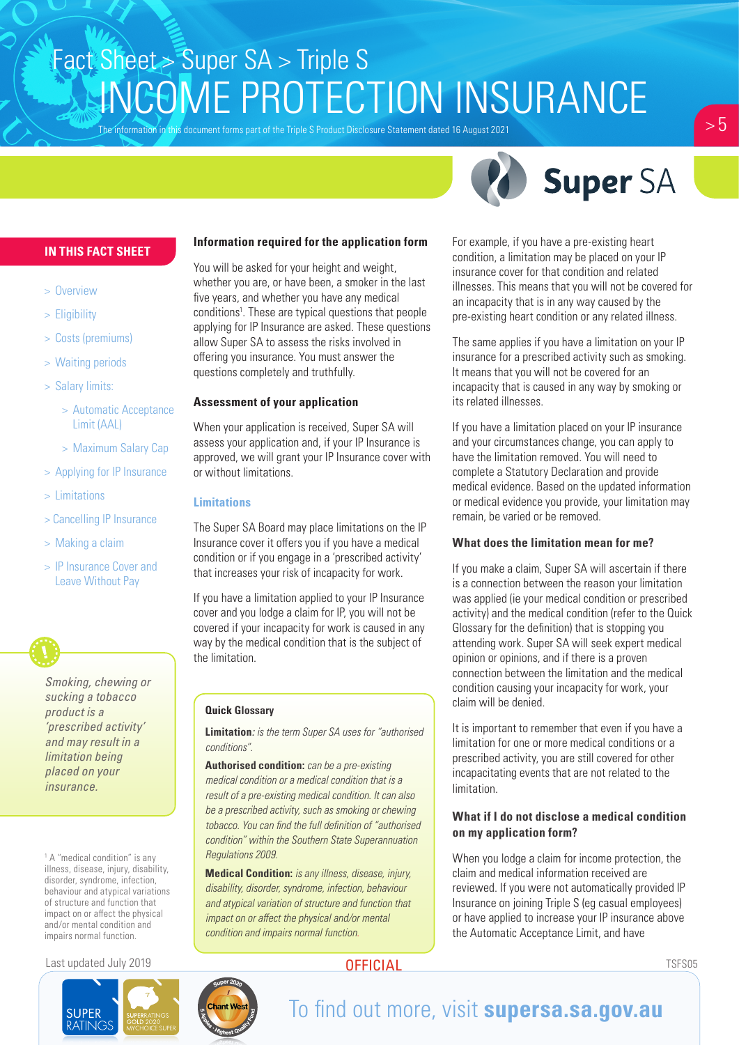The information in this document forms part of the Triple S Product Disclosure Statement dated 16 August 2021



#### **IN THIS FACT SHEET**

- > Overview
- > Eligibility
- > Costs (premiums)
- > Waiting periods
- > Salary limits:
	- > Automatic Acceptance Limit (AAL)
	- > Maximum Salary Cap
- > Applying for IP Insurance
- > Limitations
- > Cancelling IP Insurance
- > Making a claim
- > IP Insurance Cover and Leave Without Pay

*Smoking, chewing or sucking a tobacco product is a 'prescribed activity' and may result in a limitation being placed on your insurance.* 

<sup>1</sup> A "medical condition" is any illness, disease, injury, disability, disorder, syndrome, infection, behaviour and atypical variations of structure and function that impact on or affect the physical and/or mental condition and impairs normal function.

#### Last updated July 2019 TSFS05



### **Information required for the application form**

You will be asked for your height and weight, whether you are, or have been, a smoker in the last five years, and whether you have any medical conditions<sup>1</sup>. These are typical questions that people applying for IP Insurance are asked. These questions allow Super SA to assess the risks involved in offering you insurance. You must answer the questions completely and truthfully.

#### **Assessment of your application**

When your application is received, Super SA will assess your application and, if your IP Insurance is approved, we will grant your IP Insurance cover with or without limitations.

#### **Limitations**

The Super SA Board may place limitations on the IP Insurance cover it offers you if you have a medical condition or if you engage in a 'prescribed activity' that increases your risk of incapacity for work.

If you have a limitation applied to your IP Insurance cover and you lodge a claim for IP, you will not be covered if your incapacity for work is caused in any way by the medical condition that is the subject of the limitation.

#### **Quick Glossary**

**Limitation***: is the term Super SA uses for "authorised conditions".*

**Authorised condition:** *can be a pre-existing medical condition or a medical condition that is a result of a pre-existing medical condition. It can also be a prescribed activity, such as smoking or chewing tobacco. You can find the full definition of "authorised condition" within the Southern State Superannuation Regulations 2009.*

**Medical Condition:** *is any illness, disease, injury, disability, disorder, syndrome, infection, behaviour and atypical variation of structure and function that impact on or affect the physical and/or mental condition and impairs normal function.*

For example, if you have a pre-existing heart condition, a limitation may be placed on your IP insurance cover for that condition and related illnesses. This means that you will not be covered for an incapacity that is in any way caused by the pre-existing heart condition or any related illness.

The same applies if you have a limitation on your IP insurance for a prescribed activity such as smoking. It means that you will not be covered for an incapacity that is caused in any way by smoking or its related illnesses.

If you have a limitation placed on your IP insurance and your circumstances change, you can apply to have the limitation removed. You will need to complete a Statutory Declaration and provide medical evidence. Based on the updated information or medical evidence you provide, your limitation may remain, be varied or be removed.

#### **What does the limitation mean for me?**

If you make a claim, Super SA will ascertain if there is a connection between the reason your limitation was applied (ie your medical condition or prescribed activity) and the medical condition (refer to the Quick Glossary for the definition) that is stopping you attending work. Super SA will seek expert medical opinion or opinions, and if there is a proven connection between the limitation and the medical condition causing your incapacity for work, your claim will be denied.

It is important to remember that even if you have a limitation for one or more medical conditions or a prescribed activity, you are still covered for other incapacitating events that are not related to the limitation.

#### **What if I do not disclose a medical condition on my application form?**

When you lodge a claim for income protection, the claim and medical information received are reviewed. If you were not automatically provided IP Insurance on joining Triple S (eg casual employees) or have applied to increase your IP insurance above the Automatic Acceptance Limit, and have

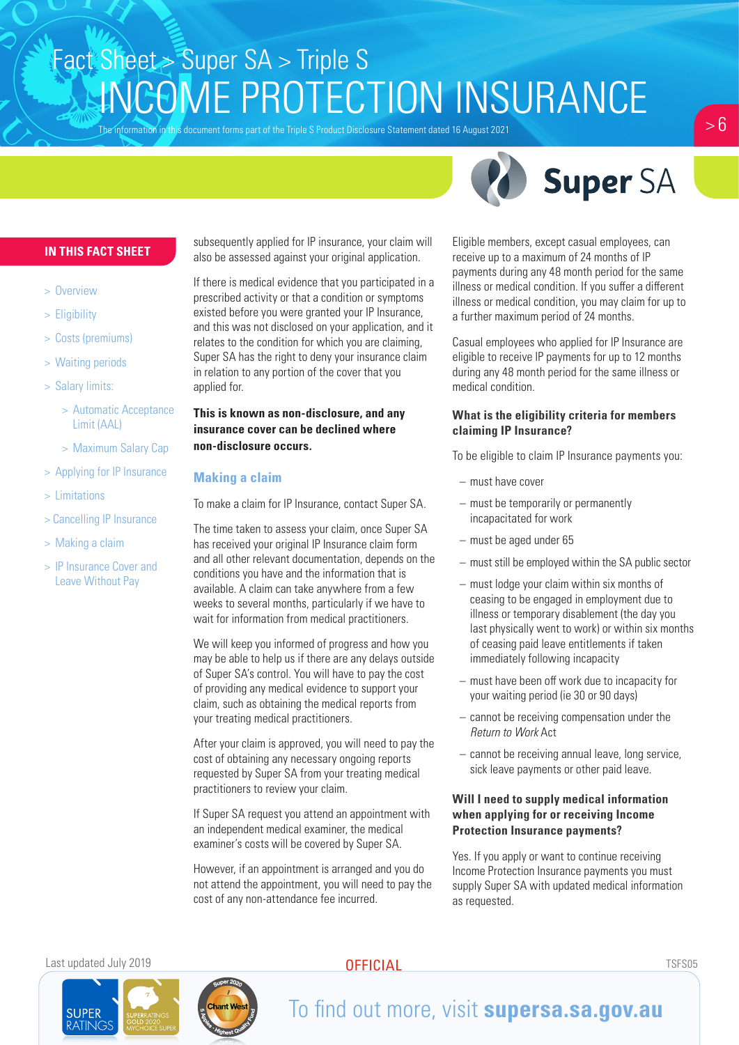The information in this document forms part of the Triple S Product Disclosure Statement dated 16 August 2021



 $> 6$ 

#### **IN THIS FACT SHEET**

- > Overview
- > Eligibility
- > Costs (premiums)
- > Waiting periods
- > Salary limits:
	- > Automatic Acceptance Limit (AAL)
	- > Maximum Salary Cap
- > Applying for IP Insurance
- > Limitations
- > Cancelling IP Insurance
- > Making a claim
- > IP Insurance Cover and Leave Without Pay

subsequently applied for IP insurance, your claim will also be assessed against your original application.

If there is medical evidence that you participated in a prescribed activity or that a condition or symptoms existed before you were granted your IP Insurance, and this was not disclosed on your application, and it relates to the condition for which you are claiming, Super SA has the right to deny your insurance claim in relation to any portion of the cover that you applied for.

#### **This is known as non-disclosure, and any insurance cover can be declined where non-disclosure occurs.**

#### **Making a claim**

To make a claim for IP Insurance, contact Super SA.

The time taken to assess your claim, once Super SA has received your original IP Insurance claim form and all other relevant documentation, depends on the conditions you have and the information that is available. A claim can take anywhere from a few weeks to several months, particularly if we have to wait for information from medical practitioners.

We will keep you informed of progress and how you may be able to help us if there are any delays outside of Super SA's control. You will have to pay the cost of providing any medical evidence to support your claim, such as obtaining the medical reports from your treating medical practitioners.

After your claim is approved, you will need to pay the cost of obtaining any necessary ongoing reports requested by Super SA from your treating medical practitioners to review your claim.

If Super SA request you attend an appointment with an independent medical examiner, the medical examiner's costs will be covered by Super SA.

However, if an appointment is arranged and you do not attend the appointment, you will need to pay the cost of any non-attendance fee incurred.

Eligible members, except casual employees, can receive up to a maximum of 24 months of IP payments during any 48 month period for the same illness or medical condition. If you suffer a different illness or medical condition, you may claim for up to a further maximum period of 24 months.

Casual employees who applied for IP Insurance are eligible to receive IP payments for up to 12 months during any 48 month period for the same illness or medical condition.

#### **What is the eligibility criteria for members claiming IP Insurance?**

To be eligible to claim IP Insurance payments you:

- must have cover
- must be temporarily or permanently incapacitated for work
- must be aged under 65
- must still be employed within the SA public sector
- must lodge your claim within six months of ceasing to be engaged in employment due to illness or temporary disablement (the day you last physically went to work) or within six months of ceasing paid leave entitlements if taken immediately following incapacity
- must have been off work due to incapacity for your waiting period (ie 30 or 90 days)
- cannot be receiving compensation under the *Return to Work* Act
- cannot be receiving annual leave, long service, sick leave payments or other paid leave.

#### **Will I need to supply medical information when applying for or receiving Income Protection Insurance payments?**

Yes. If you apply or want to continue receiving Income Protection Insurance payments you must supply Super SA with updated medical information as requested.

Last updated July 2019 TSFS05

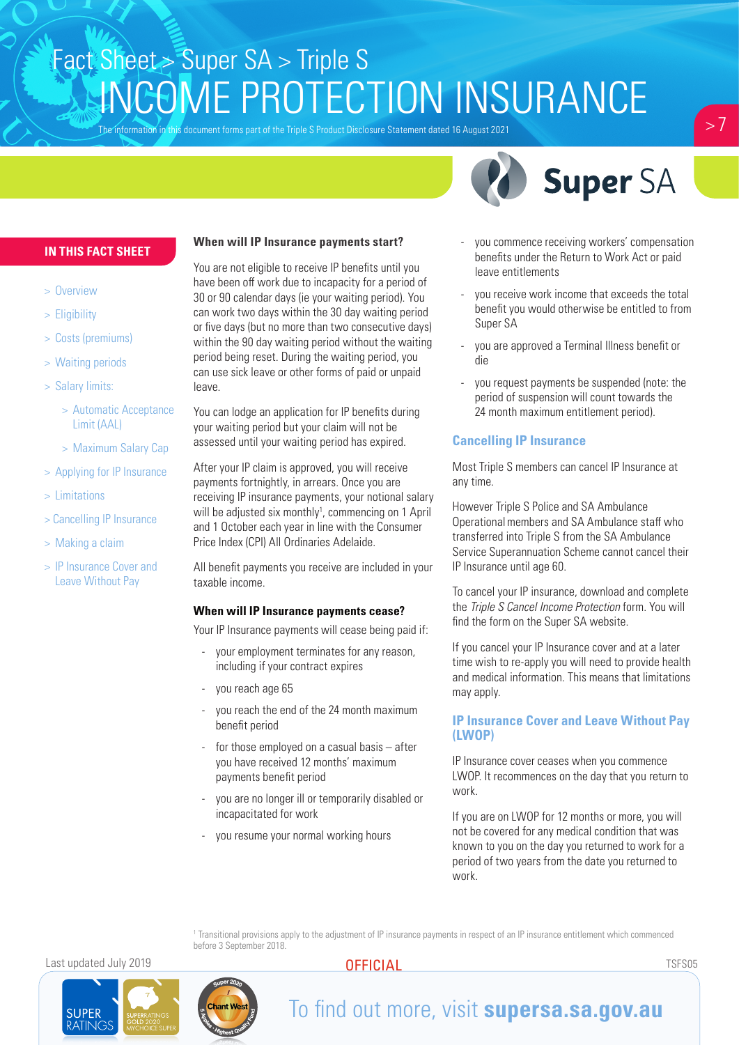The information in this document forms part of the Triple S Product Disclosure Statement dated 16 August 2021

 $> 7$ 



#### **IN THIS FACT SHEET**

- > Overview
- > Eligibility
- > Costs (premiums)
- > Waiting periods
- > Salary limits:
	- > Automatic Acceptance Limit (AAL)
	- > Maximum Salary Cap
- > Applying for IP Insurance
- > Limitations
- > Cancelling IP Insurance
- > Making a claim
- > IP Insurance Cover and Leave Without Pay

#### **When will IP Insurance payments start?**

You are not eligible to receive IP benefits until you have been off work due to incapacity for a period of 30 or 90 calendar days (ie your waiting period). You can work two days within the 30 day waiting period or five days (but no more than two consecutive days) within the 90 day waiting period without the waiting period being reset. During the waiting period, you can use sick leave or other forms of paid or unpaid leave.

You can lodge an application for IP benefits during your waiting period but your claim will not be assessed until your waiting period has expired.

After your IP claim is approved, you will receive payments fortnightly, in arrears. Once you are receiving IP insurance payments, your notional salary will be adjusted six monthly<sup>1</sup>, commencing on 1 April and 1 October each year in line with the Consumer Price Index (CPI) All Ordinaries Adelaide.

All benefit payments you receive are included in your taxable income.

#### **When will IP Insurance payments cease?**

Your IP Insurance payments will cease being paid if:

- your employment terminates for any reason, including if your contract expires
- you reach age 65
- you reach the end of the 24 month maximum benefit period
- for those employed on a casual basis after you have received 12 months' maximum payments benefit period
- you are no longer ill or temporarily disabled or incapacitated for work
- you resume your normal working hours
- you commence receiving workers' compensation benefits under the Return to Work Act or paid leave entitlements
- you receive work income that exceeds the total benefit you would otherwise be entitled to from Super SA
- you are approved a Terminal Illness benefit or die
- you request payments be suspended (note: the period of suspension will count towards the 24 month maximum entitlement period).

### **Cancelling IP Insurance**

Most Triple S members can cancel IP Insurance at any time.

However Triple S Police and SA Ambulance Operationalmembers and SA Ambulance staff who transferred into Triple S from the SA Ambulance Service Superannuation Scheme cannot cancel their IP Insurance until age 60.

To cancel your IP insurance, download and complete the *Triple S Cancel Income Protection* form. You will find the form on the Super SA website.

If you cancel your IP Insurance cover and at a later time wish to re-apply you will need to provide health and medical information. This means that limitations may apply.

#### **IP Insurance Cover and Leave Without Pay (LWOP)**

IP Insurance cover ceases when you commence LWOP. It recommences on the day that you return to work.

If you are on LWOP for 12 months or more, you will not be covered for any medical condition that was known to you on the day you returned to work for a period of two years from the date you returned to work.

1 Transitional provisions apply to the adjustment of IP insurance payments in respect of an IP insurance entitlement which commenced before 3 September 2018.

Last updated July 2019 TSFS05

**SUPER**